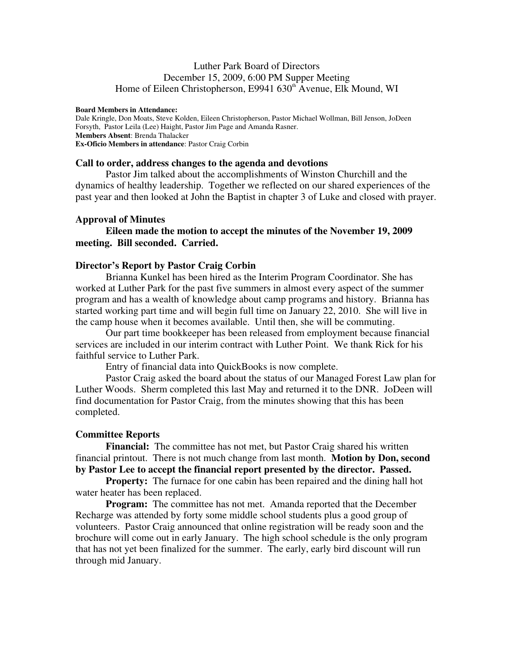# Luther Park Board of Directors December 15, 2009, 6:00 PM Supper Meeting Home of Eileen Christopherson, E9941 630<sup>th</sup> Avenue, Elk Mound, WI

#### **Board Members in Attendance:**

Dale Kringle, Don Moats, Steve Kolden, Eileen Christopherson, Pastor Michael Wollman, Bill Jenson, JoDeen Forsyth, Pastor Leila (Lee) Haight, Pastor Jim Page and Amanda Rasner. **Members Absent**: Brenda Thalacker **Ex-Oficio Members in attendance**: Pastor Craig Corbin

### **Call to order, address changes to the agenda and devotions**

Pastor Jim talked about the accomplishments of Winston Churchill and the dynamics of healthy leadership. Together we reflected on our shared experiences of the past year and then looked at John the Baptist in chapter 3 of Luke and closed with prayer.

#### **Approval of Minutes**

 **Eileen made the motion to accept the minutes of the November 19, 2009 meeting. Bill seconded. Carried.** 

#### **Director's Report by Pastor Craig Corbin**

Brianna Kunkel has been hired as the Interim Program Coordinator. She has worked at Luther Park for the past five summers in almost every aspect of the summer program and has a wealth of knowledge about camp programs and history. Brianna has started working part time and will begin full time on January 22, 2010. She will live in the camp house when it becomes available. Until then, she will be commuting.

 Our part time bookkeeper has been released from employment because financial services are included in our interim contract with Luther Point. We thank Rick for his faithful service to Luther Park.

Entry of financial data into QuickBooks is now complete.

 Pastor Craig asked the board about the status of our Managed Forest Law plan for Luther Woods. Sherm completed this last May and returned it to the DNR. JoDeen will find documentation for Pastor Craig, from the minutes showing that this has been completed.

### **Committee Reports**

**Financial:** The committee has not met, but Pastor Craig shared his written financial printout. There is not much change from last month. **Motion by Don, second by Pastor Lee to accept the financial report presented by the director. Passed.** 

**Property:** The furnace for one cabin has been repaired and the dining hall hot water heater has been replaced.

**Program:** The committee has not met. Amanda reported that the December Recharge was attended by forty some middle school students plus a good group of volunteers. Pastor Craig announced that online registration will be ready soon and the brochure will come out in early January. The high school schedule is the only program that has not yet been finalized for the summer. The early, early bird discount will run through mid January.